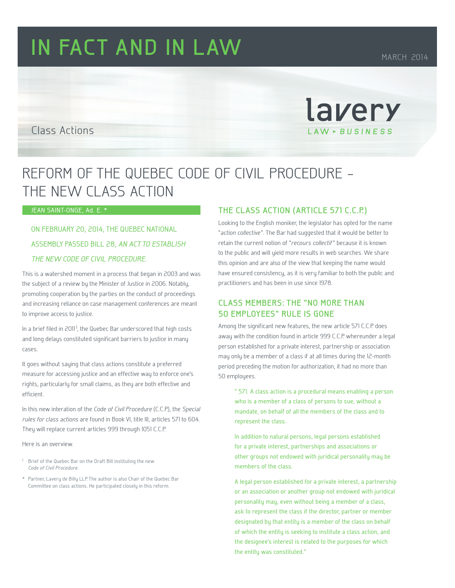# **IN FACT AND IN LAW** MARCH 2014

lavery

LAW - BUSINESS

#### Class Actions

## REFORM OF THE QUEBEC CODE OF CIVIL PROCEDURE – THE NEW CLASS ACTION

#### JEAN SAINT-ONGE, Ad. E. \*

### ON FEBRUARY 20, 2014, THE QUEBEC NATIONAL ASSEMBLY PASSED BILL 28, AN ACT TO ESTABLISH THE NEW CODE OF CIVIL PROCEDURE.

This is a watershed moment in a process that began in 2003 and was the subject of a review by the Minister of Justice in 2006. Notably, promoting cooperation by the parties on the conduct of proceedings and increasing reliance on case management conferences are meant to improve access to justice.

In a brief filed in 2011 $^{\dagger}$ , the Quebec Bar underscored that high costs and long delays constituted significant barriers to justice in many cases.

It goes without saying that class actions constitute a preferred measure for accessing justice and an effective way to enforce one's rights, particularly for small claims, as they are both effective and efficient.

In this new interation of the Code of Civil Procedure (C.C.P.), the Special rules for class actions are found in Book VI, title III, articles 571 to 604. They will replace current articles 999 through 1051 C.C.P.

Here is an overview.

- <sup>1</sup> Brief of the Quebec Bar on the Draft Bill instituting the new Code of Civil Procedure.
- \* Partner, Lavery de Billy LLP. The author is also Chair of the Quebec Bar Committee on class actions. He participated closely in this reform.

#### **THE CLASS ACTION (ARTICLE 571 C.C.P.)**

Looking to the English moniker, the legislator has opted for the name "action collective ". The Bar had suggested that it would be better to retain the current notion of "recours collectif" because it is known to the public and will yield more results in web searches. We share this opinion and are also of the view that keeping the name would have ensured consistency, as it is very familiar to both the public and practitioners and has been in use since 1978.

#### **CLASS MEMBERS: THE "NO MORE THAN 50 EMPLOYEES" RULE IS GONE**

Among the significant new features, the new article 571 C.C.P. does away with the condition found in article 999 C.C.P. whereunder a legal person established for a private interest, partnership or association may only be a member of a class if at all times during the 12-month period preceding the motion for authorization, it had no more than 50 employees.

" 571. A class action is a procedural means enabling a person who is a member of a class of persons to sue, without a mandate, on behalf of all the members of the class and to represent the class.

In addition to natural persons, legal persons established for a private interest, partnerships and associations or other groups not endowed with juridical personality may be members of the class.

A legal person established for a private interest, a partnership or an association or another group not endowed with juridical personality may, even without being a member of a class, ask to represent the class if the director, partner or member designated by that entity is a member of the class on behalf of which the entity is seeking to institute a class action, and the designee's interest is related to the purposes for which the entity was constituted."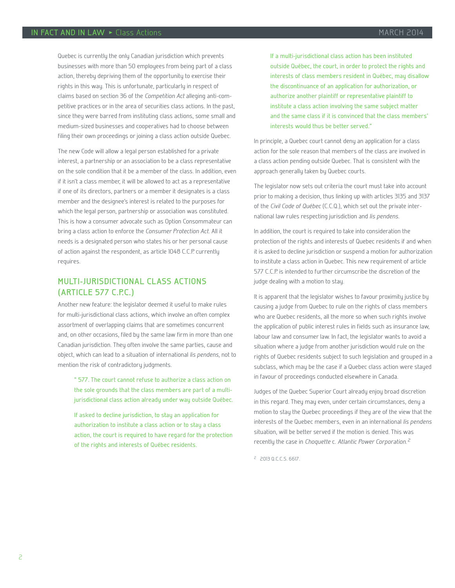Quebec is currently the only Canadian jurisdiction which prevents businesses with more than 50 employees from being part of a class action, thereby depriving them of the opportunity to exercise their rights in this way. This is unfortunate, particularly in respect of claims based on section 36 of the Competition Act alleging anti-competitive practices or in the area of securities class actions. In the past, since they were barred from instituting class actions, some small and medium-sized businesses and cooperatives had to choose between filing their own proceedings or joining a class action outside Quebec.

The new Code will allow a legal person established for a private interest, a partnership or an association to be a class representative on the sole condition that it be a member of the class. In addition, even if it isn't a class member, it will be allowed to act as a representative if one of its directors, partners or a member it designates is a class member and the designee's interest is related to the purposes for which the legal person, partnership or association was constituted. This is how a consumer advocate such as Option Consommateur can bring a class action to enforce the Consumer Protection Act. All it needs is a designated person who states his or her personal cause of action against the respondent, as article 1048 C.C.P. currently requires.

#### **MULTI-JURISDICTIONAL CLASS ACTIONS (ARTICLE 577 C.P.C.)**

Another new feature: the legislator deemed it useful to make rules for multi-jurisdictional class actions, which involve an often complex assortment of overlapping claims that are sometimes concurrent and, on other occasions, filed by the same law firm in more than one Canadian jurisdiction. They often involve the same parties, cause and object, which can lead to a situation of international lis pendens, not to mention the risk of contradictory judgments.

" 577. The court cannot refuse to authorize a class action on the sole grounds that the class members are part of a multijurisdictional class action already under way outside Québec.

If asked to decline jurisdiction, to stay an application for authorization to institute a class action or to stay a class action, the court is required to have regard for the protection of the rights and interests of Québec residents.

If a multi-jurisdictional class action has been instituted outside Québec, the court, in order to protect the rights and interests of class members resident in Québec, may disallow the discontinuance of an application for authorization, or authorize another plaintiff or representative plaintiff to institute a class action involving the same subject matter and the same class if it is convinced that the class members' interests would thus be better served."

In principle, a Quebec court cannot deny an application for a class action for the sole reason that members of the class are involved in a class action pending outside Quebec. That is consistent with the approach generally taken by Quebec courts.

The legislator now sets out criteria the court must take into account prior to making a decision, thus linking up with articles 3135 and 3137 of the Civil Code of Québec (C.C.Q.), which set out the private international law rules respecting jurisdiction and lis pendens.

In addition, the court is required to take into consideration the protection of the rights and interests of Quebec residents if and when it is asked to decline jurisdiction or suspend a motion for authorization to institute a class action in Quebec. This new requirement of article 577 C.C.P. is intended to further circumscribe the discretion of the judge dealing with a motion to stay.

It is apparent that the legislator wishes to favour proximity justice by causing a judge from Quebec to rule on the rights of class members who are Quebec residents, all the more so when such rights involve the application of public interest rules in fields such as insurance law, labour law and consumer law. In fact, the legislator wants to avoid a situation where a judge from another jurisdiction would rule on the rights of Quebec residents subject to such legislation and grouped in a subclass, which may be the case if a Quebec class action were stayed in favour of proceedings conducted elsewhere in Canada.

Judges of the Quebec Superior Court already enjoy broad discretion in this regard. They may even, under certain circumstances, deny a motion to stay the Quebec proceedings if they are of the view that the interests of the Quebec members, even in an international lis pendens situation, will be better served if the motion is denied. This was recently the case in Choquette c. Atlantic Power Corporation.<sup>2</sup>

<sup>2</sup> 2013 Q.C.C.S. 6617.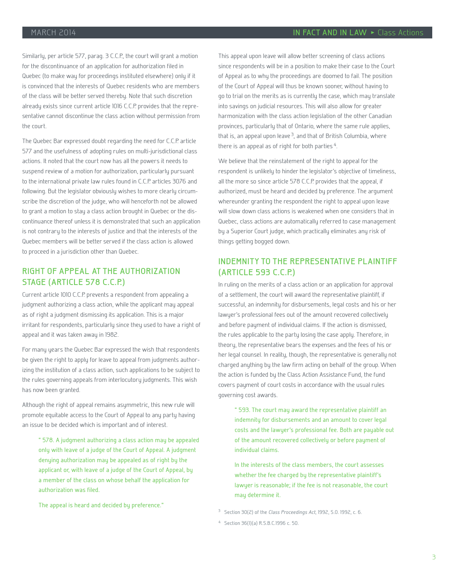Similarly, per article 577, parag. 3 C.C.P., the court will grant a motion for the discontinuance of an application for authorization filed in Quebec (to make way for proceedings instituted elsewhere) only if it is convinced that the interests of Quebec residents who are members of the class will be better served thereby. Note that such discretion already exists since current article 1016 C.C.P. provides that the representative cannot discontinue the class action without permission from the court.

The Quebec Bar expressed doubt regarding the need for C.C.P. article 577 and the usefulness of adopting rules on multi-jurisdictional class actions. It noted that the court now has all the powers it needs to suspend review of a motion for authorization, particularly pursuant to the international private law rules found in C.C.P. articles 3076 and following. But the legislator obviously wishes to more clearly circumscribe the discretion of the judge, who will henceforth not be allowed to grant a motion to stay a class action brought in Quebec or the discontinuance thereof unless it is demonstrated that such an application is not contrary to the interests of justice and that the interests of the Quebec members will be better served if the class action is allowed to proceed in a jurisdiction other than Quebec.

#### **RIGHT OF APPEAL AT THE AUTHORIZATION STAGE (ARTICLE 578 C.C.P.)**

Current article 1010 C.C.P. prevents a respondent from appealing a judgment authorizing a class action, while the applicant may appeal as of right a judgment dismissing its application. This is a major irritant for respondents, particularly since they used to have a right of appeal and it was taken away in 1982.

For many years the Quebec Bar expressed the wish that respondents be given the right to apply for leave to appeal from judgments authorizing the institution of a class action, such applications to be subject to the rules governing appeals from interlocutory judgments. This wish has now been granted.

Although the right of appeal remains asymmetric, this new rule will promote equitable access to the Court of Appeal to any party having an issue to be decided which is important and of interest.

" 578. A judgment authorizing a class action may be appealed only with leave of a judge of the Court of Appeal. A judgment denying authorization may be appealed as of right by the applicant or, with leave of a judge of the Court of Appeal, by a member of the class on whose behalf the application for authorization was filed.

The appeal is heard and decided by preference."

This appeal upon leave will allow better screening of class actions since respondents will be in a position to make their case to the Court of Appeal as to why the proceedings are doomed to fail. The position of the Court of Appeal will thus be known sooner, without having to go to trial on the merits as is currently the case, which may translate into savings on judicial resources. This will also allow for greater harmonization with the class action legislation of the other Canadian provinces, particularly that of Ontario, where the same rule applies, that is, an appeal upon leave  $3$ , and that of British Columbia, where there is an appeal as of right for both parties<sup>4</sup>.

We believe that the reinstatement of the right to appeal for the respondent is unlikely to hinder the legislator's objective of timeliness, all the more so since article 578 C.C.P. provides that the appeal, if authorized, must be heard and decided by preference. The argument whereunder granting the respondent the right to appeal upon leave will slow down class actions is weakened when one considers that in Quebec, class actions are automatically referred to case management by a Superior Court judge, which practically eliminates any risk of things getting bogged down.

#### **INDEMNITY TO THE REPRESENTATIVE PLAINTIFF (ARTICLE 593 C.C.P.)**

In ruling on the merits of a class action or an application for approval of a settlement, the court will award the representative plaintiff, if successful, an indemnity for disbursements, legal costs and his or her lawyer's professional fees out of the amount recovered collectively and before payment of individual claims. If the action is dismissed, the rules applicable to the party losing the case apply. Therefore, in theory, the representative bears the expenses and the fees of his or her legal counsel. In reality, though, the representative is generally not charged anything by the law firm acting on behalf of the group. When the action is funded by the Class Action Assistance Fund, the fund covers payment of court costs in accordance with the usual rules governing cost awards.

" 593. The court may award the representative plaintiff an indemnity for disbursements and an amount to cover legal costs and the lawyer's professional fee. Both are payable out of the amount recovered collectively or before payment of individual claims.

In the interests of the class members, the court assesses whether the fee charged by the representative plaintiff's lawyer is reasonable; if the fee is not reasonable, the court may determine it.

<sup>3</sup> Section 30(2) of the Class Proceedings Act, 1992, S.O. 1992, c. 6.

<sup>4</sup> Section 36(1)(a) R.S.B.C.1996 c. 50.